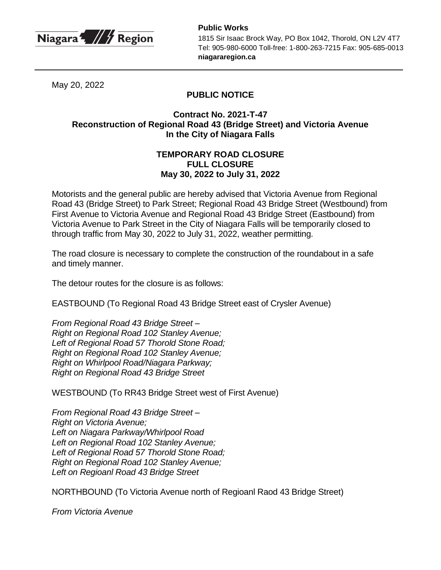

**Public Works** 1815 Sir Isaac Brock Way, PO Box 1042, Thorold, ON L2V 4T7 Tel: 905-980-6000 Toll-free: 1-800-263-7215 Fax: 905-685-0013 **niagararegion.ca**

May 20, 2022

## **PUBLIC NOTICE**

## **Contract No. 2021-T-47 Reconstruction of Regional Road 43 (Bridge Street) and Victoria Avenue In the City of Niagara Falls**

## **TEMPORARY ROAD CLOSURE FULL CLOSURE May 30, 2022 to July 31, 2022**

Motorists and the general public are hereby advised that Victoria Avenue from Regional Road 43 (Bridge Street) to Park Street; Regional Road 43 Bridge Street (Westbound) from First Avenue to Victoria Avenue and Regional Road 43 Bridge Street (Eastbound) from Victoria Avenue to Park Street in the City of Niagara Falls will be temporarily closed to through traffic from May 30, 2022 to July 31, 2022, weather permitting.

The road closure is necessary to complete the construction of the roundabout in a safe and timely manner.

The detour routes for the closure is as follows:

EASTBOUND (To Regional Road 43 Bridge Street east of Crysler Avenue)

*From Regional Road 43 Bridge Street – Right on Regional Road 102 Stanley Avenue; Left of Regional Road 57 Thorold Stone Road; Right on Regional Road 102 Stanley Avenue; Right on Whirlpool Road/Niagara Parkway; Right on Regional Road 43 Bridge Street*

WESTBOUND (To RR43 Bridge Street west of First Avenue)

*From Regional Road 43 Bridge Street – Right on Victoria Avenue; Left on Niagara Parkway/Whirlpool Road Left on Regional Road 102 Stanley Avenue; Left of Regional Road 57 Thorold Stone Road; Right on Regional Road 102 Stanley Avenue; Left on Regioanl Road 43 Bridge Street*

NORTHBOUND (To Victoria Avenue north of Regioanl Raod 43 Bridge Street)

*From Victoria Avenue*